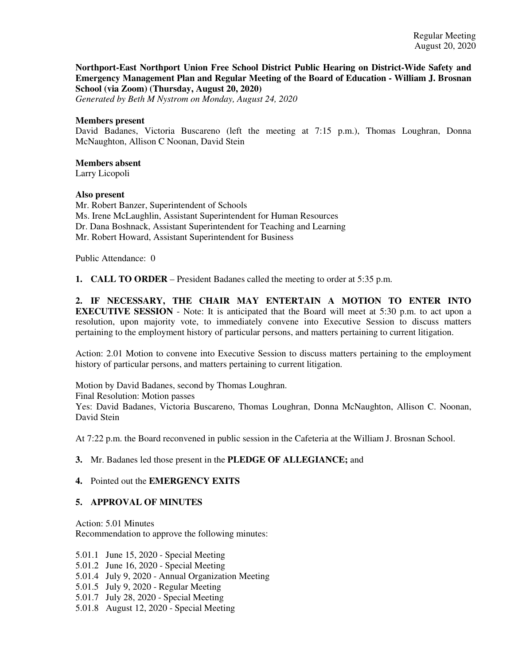**Northport-East Northport Union Free School District Public Hearing on District-Wide Safety and Emergency Management Plan and Regular Meeting of the Board of Education - William J. Brosnan School (via Zoom) (Thursday, August 20, 2020)**

*Generated by Beth M Nystrom on Monday, August 24, 2020*

#### **Members present**

David Badanes, Victoria Buscareno (left the meeting at 7:15 p.m.), Thomas Loughran, Donna McNaughton, Allison C Noonan, David Stein

# **Members absent**

Larry Licopoli

#### **Also present**

Mr. Robert Banzer, Superintendent of Schools Ms. Irene McLaughlin, Assistant Superintendent for Human Resources Dr. Dana Boshnack, Assistant Superintendent for Teaching and Learning Mr. Robert Howard, Assistant Superintendent for Business

Public Attendance: 0

**1. CALL TO ORDER** – President Badanes called the meeting to order at 5:35 p.m.

**2. IF NECESSARY, THE CHAIR MAY ENTERTAIN A MOTION TO ENTER INTO EXECUTIVE SESSION** - Note: It is anticipated that the Board will meet at 5:30 p.m. to act upon a resolution, upon majority vote, to immediately convene into Executive Session to discuss matters pertaining to the employment history of particular persons, and matters pertaining to current litigation.

Action: 2.01 Motion to convene into Executive Session to discuss matters pertaining to the employment history of particular persons, and matters pertaining to current litigation.

Motion by David Badanes, second by Thomas Loughran. Final Resolution: Motion passes Yes: David Badanes, Victoria Buscareno, Thomas Loughran, Donna McNaughton, Allison C. Noonan, David Stein

At 7:22 p.m. the Board reconvened in public session in the Cafeteria at the William J. Brosnan School.

### **3.** Mr. Badanes led those present in the **PLEDGE OF ALLEGIANCE;** and

### **4.** Pointed out the **EMERGENCY EXITS**

### **5. APPROVAL OF MINUTES**

Action: 5.01 Minutes Recommendation to approve the following minutes:

5.01.1 June 15, 2020 - Special Meeting

- 5.01.2 June 16, 2020 Special Meeting
- 5.01.4 July 9, 2020 Annual Organization Meeting
- 5.01.5 July 9, 2020 Regular Meeting
- 5.01.7 July 28, 2020 Special Meeting
- 5.01.8 August 12, 2020 Special Meeting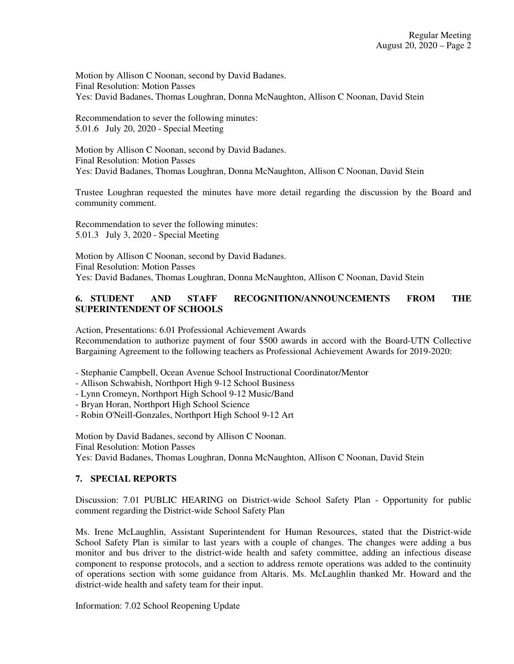Motion by Allison C Noonan, second by David Badanes. Final Resolution: Motion Passes Yes: David Badanes, Thomas Loughran, Donna McNaughton, Allison C Noonan, David Stein

Recommendation to sever the following minutes: 5.01.6 July 20, 2020 - Special Meeting

Motion by Allison C Noonan, second by David Badanes. Final Resolution: Motion Passes Yes: David Badanes, Thomas Loughran, Donna McNaughton, Allison C Noonan, David Stein

Trustee Loughran requested the minutes have more detail regarding the discussion by the Board and community comment.

Recommendation to sever the following minutes: 5.01.3 July 3, 2020 - Special Meeting

Motion by Allison C Noonan, second by David Badanes. Final Resolution: Motion Passes Yes: David Badanes, Thomas Loughran, Donna McNaughton, Allison C Noonan, David Stein

## **6. STUDENT AND STAFF RECOGNITION/ANNOUNCEMENTS FROM THE SUPERINTENDENT OF SCHOOLS**

Action, Presentations: 6.01 Professional Achievement Awards Recommendation to authorize payment of four \$500 awards in accord with the Board-UTN Collective Bargaining Agreement to the following teachers as Professional Achievement Awards for 2019-2020:

- Stephanie Campbell, Ocean Avenue School Instructional Coordinator/Mentor
- Allison Schwabish, Northport High 9-12 School Business
- Lynn Cromeyn, Northport High School 9-12 Music/Band
- Bryan Horan, Northport High School Science
- Robin O'Neill-Gonzales, Northport High School 9-12 Art

Motion by David Badanes, second by Allison C Noonan. Final Resolution: Motion Passes Yes: David Badanes, Thomas Loughran, Donna McNaughton, Allison C Noonan, David Stein

### **7. SPECIAL REPORTS**

Discussion: 7.01 PUBLIC HEARING on District-wide School Safety Plan - Opportunity for public comment regarding the District-wide School Safety Plan

Ms. Irene McLaughlin, Assistant Superintendent for Human Resources, stated that the District-wide School Safety Plan is similar to last years with a couple of changes. The changes were adding a bus monitor and bus driver to the district-wide health and safety committee, adding an infectious disease component to response protocols, and a section to address remote operations was added to the continuity of operations section with some guidance from Altaris. Ms. McLaughlin thanked Mr. Howard and the district-wide health and safety team for their input.

Information: 7.02 School Reopening Update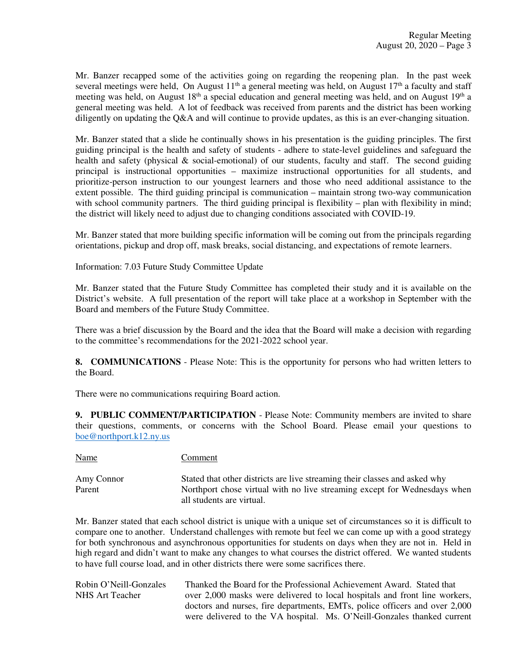Mr. Banzer recapped some of the activities going on regarding the reopening plan. In the past week several meetings were held, On August  $11<sup>th</sup>$  a general meeting was held, on August  $17<sup>th</sup>$  a faculty and staff meeting was held, on August 18<sup>th</sup> a special education and general meeting was held, and on August 19<sup>th</sup> a general meeting was held. A lot of feedback was received from parents and the district has been working diligently on updating the Q&A and will continue to provide updates, as this is an ever-changing situation.

Mr. Banzer stated that a slide he continually shows in his presentation is the guiding principles. The first guiding principal is the health and safety of students - adhere to state-level guidelines and safeguard the health and safety (physical & social-emotional) of our students, faculty and staff. The second guiding principal is instructional opportunities – maximize instructional opportunities for all students, and prioritize-person instruction to our youngest learners and those who need additional assistance to the extent possible. The third guiding principal is communication – maintain strong two-way communication with school community partners. The third guiding principal is flexibility – plan with flexibility in mind; the district will likely need to adjust due to changing conditions associated with COVID-19.

Mr. Banzer stated that more building specific information will be coming out from the principals regarding orientations, pickup and drop off, mask breaks, social distancing, and expectations of remote learners.

Information: 7.03 Future Study Committee Update

Mr. Banzer stated that the Future Study Committee has completed their study and it is available on the District's website. A full presentation of the report will take place at a workshop in September with the Board and members of the Future Study Committee.

There was a brief discussion by the Board and the idea that the Board will make a decision with regarding to the committee's recommendations for the 2021-2022 school year.

**8. COMMUNICATIONS** - Please Note: This is the opportunity for persons who had written letters to the Board.

There were no communications requiring Board action.

**9. PUBLIC COMMENT/PARTICIPATION** - Please Note: Community members are invited to share their questions, comments, or concerns with the School Board. Please email your questions to boe@northport.k12.ny.us

Name Comment Amy Connor Stated that other districts are live streaming their classes and asked why Parent Northport chose virtual with no live streaming except for Wednesdays when all students are virtual.

Mr. Banzer stated that each school district is unique with a unique set of circumstances so it is difficult to compare one to another. Understand challenges with remote but feel we can come up with a good strategy for both synchronous and asynchronous opportunities for students on days when they are not in. Held in high regard and didn't want to make any changes to what courses the district offered. We wanted students to have full course load, and in other districts there were some sacrifices there.

Robin O'Neill-Gonzales Thanked the Board for the Professional Achievement Award. Stated that NHS Art Teacher over 2,000 masks were delivered to local hospitals and front line workers, doctors and nurses, fire departments, EMTs, police officers and over 2,000 were delivered to the VA hospital. Ms. O'Neill-Gonzales thanked current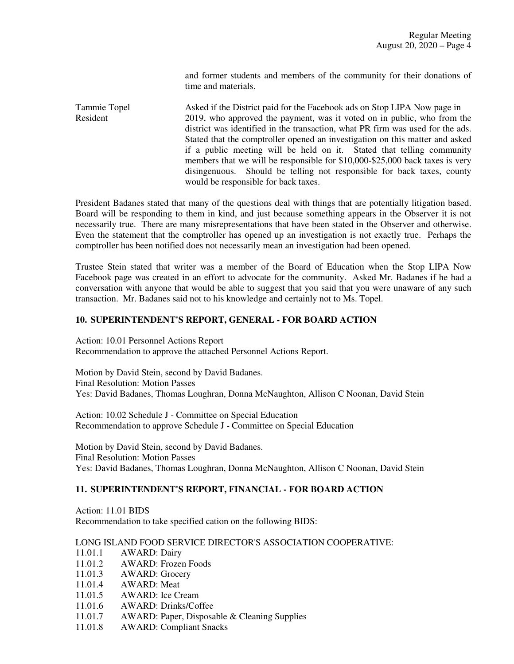and former students and members of the community for their donations of time and materials.

Tammie Topel Asked if the District paid for the Facebook ads on Stop LIPA Now page in Resident 2019, who approved the payment, was it voted on in public, who from the district was identified in the transaction, what PR firm was used for the ads. Stated that the comptroller opened an investigation on this matter and asked if a public meeting will be held on it. Stated that telling community members that we will be responsible for \$10,000-\$25,000 back taxes is very disingenuous. Should be telling not responsible for back taxes, county would be responsible for back taxes.

President Badanes stated that many of the questions deal with things that are potentially litigation based. Board will be responding to them in kind, and just because something appears in the Observer it is not necessarily true. There are many misrepresentations that have been stated in the Observer and otherwise. Even the statement that the comptroller has opened up an investigation is not exactly true. Perhaps the comptroller has been notified does not necessarily mean an investigation had been opened.

Trustee Stein stated that writer was a member of the Board of Education when the Stop LIPA Now Facebook page was created in an effort to advocate for the community. Asked Mr. Badanes if he had a conversation with anyone that would be able to suggest that you said that you were unaware of any such transaction. Mr. Badanes said not to his knowledge and certainly not to Ms. Topel.

### **10. SUPERINTENDENT'S REPORT, GENERAL - FOR BOARD ACTION**

Action: 10.01 Personnel Actions Report Recommendation to approve the attached Personnel Actions Report.

Motion by David Stein, second by David Badanes. Final Resolution: Motion Passes Yes: David Badanes, Thomas Loughran, Donna McNaughton, Allison C Noonan, David Stein

Action: 10.02 Schedule J - Committee on Special Education Recommendation to approve Schedule J - Committee on Special Education

Motion by David Stein, second by David Badanes. Final Resolution: Motion Passes Yes: David Badanes, Thomas Loughran, Donna McNaughton, Allison C Noonan, David Stein

### **11. SUPERINTENDENT'S REPORT, FINANCIAL - FOR BOARD ACTION**

Action: 11.01 BIDS Recommendation to take specified cation on the following BIDS:

### LONG ISLAND FOOD SERVICE DIRECTOR'S ASSOCIATION COOPERATIVE:

- 11.01.1 AWARD: Dairy
- 11.01.2 AWARD: Frozen Foods
- 11.01.3 AWARD: Grocery
- 11.01.4 AWARD: Meat
- 11.01.5 AWARD: Ice Cream
- 11.01.6 AWARD: Drinks/Coffee
- 11.01.7 AWARD: Paper, Disposable & Cleaning Supplies
- 11.01.8 AWARD: Compliant Snacks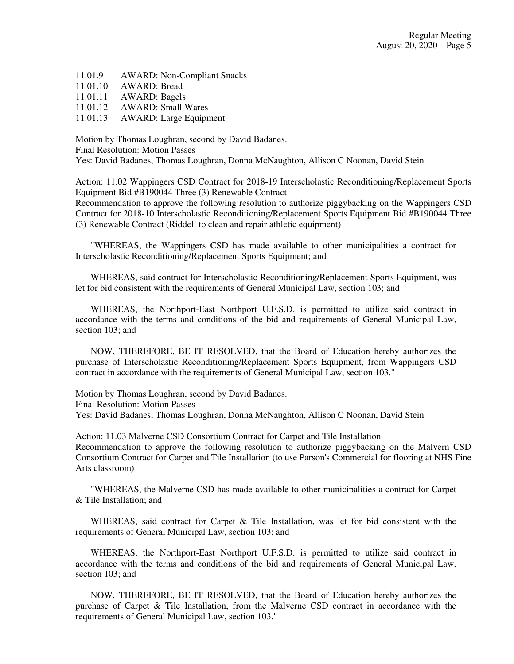- 11.01.9 AWARD: Non-Compliant Snacks
- 11.01.10 AWARD: Bread
- 11.01.11 AWARD: Bagels
- 11.01.12 AWARD: Small Wares
- 11.01.13 AWARD: Large Equipment

Motion by Thomas Loughran, second by David Badanes. Final Resolution: Motion Passes Yes: David Badanes, Thomas Loughran, Donna McNaughton, Allison C Noonan, David Stein

Action: 11.02 Wappingers CSD Contract for 2018-19 Interscholastic Reconditioning/Replacement Sports Equipment Bid #B190044 Three (3) Renewable Contract

Recommendation to approve the following resolution to authorize piggybacking on the Wappingers CSD Contract for 2018-10 Interscholastic Reconditioning/Replacement Sports Equipment Bid #B190044 Three (3) Renewable Contract (Riddell to clean and repair athletic equipment)

"WHEREAS, the Wappingers CSD has made available to other municipalities a contract for Interscholastic Reconditioning/Replacement Sports Equipment; and

WHEREAS, said contract for Interscholastic Reconditioning/Replacement Sports Equipment, was let for bid consistent with the requirements of General Municipal Law, section 103; and

WHEREAS, the Northport-East Northport U.F.S.D. is permitted to utilize said contract in accordance with the terms and conditions of the bid and requirements of General Municipal Law, section 103; and

NOW, THEREFORE, BE IT RESOLVED, that the Board of Education hereby authorizes the purchase of Interscholastic Reconditioning/Replacement Sports Equipment, from Wappingers CSD contract in accordance with the requirements of General Municipal Law, section 103."

Motion by Thomas Loughran, second by David Badanes. Final Resolution: Motion Passes Yes: David Badanes, Thomas Loughran, Donna McNaughton, Allison C Noonan, David Stein

Action: 11.03 Malverne CSD Consortium Contract for Carpet and Tile Installation Recommendation to approve the following resolution to authorize piggybacking on the Malvern CSD Consortium Contract for Carpet and Tile Installation (to use Parson's Commercial for flooring at NHS Fine Arts classroom)

"WHEREAS, the Malverne CSD has made available to other municipalities a contract for Carpet & Tile Installation; and

WHEREAS, said contract for Carpet & Tile Installation, was let for bid consistent with the requirements of General Municipal Law, section 103; and

WHEREAS, the Northport-East Northport U.F.S.D. is permitted to utilize said contract in accordance with the terms and conditions of the bid and requirements of General Municipal Law, section 103; and

NOW, THEREFORE, BE IT RESOLVED, that the Board of Education hereby authorizes the purchase of Carpet & Tile Installation, from the Malverne CSD contract in accordance with the requirements of General Municipal Law, section 103."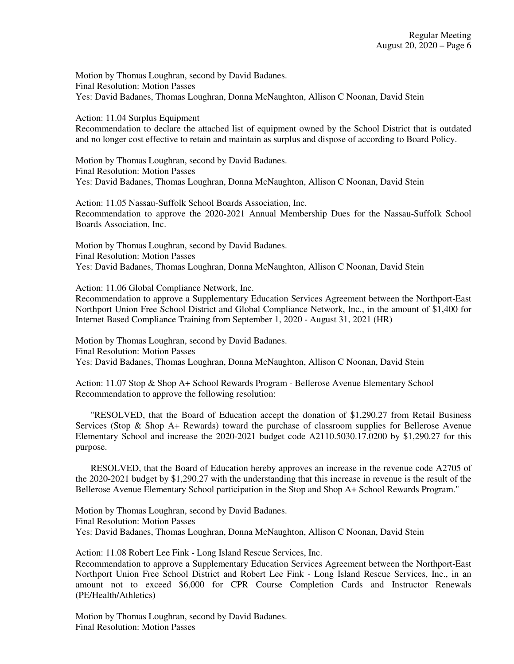Motion by Thomas Loughran, second by David Badanes. Final Resolution: Motion Passes Yes: David Badanes, Thomas Loughran, Donna McNaughton, Allison C Noonan, David Stein

Action: 11.04 Surplus Equipment

Recommendation to declare the attached list of equipment owned by the School District that is outdated and no longer cost effective to retain and maintain as surplus and dispose of according to Board Policy.

Motion by Thomas Loughran, second by David Badanes. Final Resolution: Motion Passes Yes: David Badanes, Thomas Loughran, Donna McNaughton, Allison C Noonan, David Stein

Action: 11.05 Nassau-Suffolk School Boards Association, Inc. Recommendation to approve the 2020-2021 Annual Membership Dues for the Nassau-Suffolk School Boards Association, Inc.

Motion by Thomas Loughran, second by David Badanes. Final Resolution: Motion Passes Yes: David Badanes, Thomas Loughran, Donna McNaughton, Allison C Noonan, David Stein

Action: 11.06 Global Compliance Network, Inc.

Recommendation to approve a Supplementary Education Services Agreement between the Northport-East Northport Union Free School District and Global Compliance Network, Inc., in the amount of \$1,400 for Internet Based Compliance Training from September 1, 2020 - August 31, 2021 (HR)

Motion by Thomas Loughran, second by David Badanes. Final Resolution: Motion Passes Yes: David Badanes, Thomas Loughran, Donna McNaughton, Allison C Noonan, David Stein

Action: 11.07 Stop & Shop A+ School Rewards Program - Bellerose Avenue Elementary School Recommendation to approve the following resolution:

"RESOLVED, that the Board of Education accept the donation of \$1,290.27 from Retail Business Services (Stop & Shop A+ Rewards) toward the purchase of classroom supplies for Bellerose Avenue Elementary School and increase the 2020-2021 budget code A2110.5030.17.0200 by \$1,290.27 for this purpose.

RESOLVED, that the Board of Education hereby approves an increase in the revenue code A2705 of the 2020-2021 budget by \$1,290.27 with the understanding that this increase in revenue is the result of the Bellerose Avenue Elementary School participation in the Stop and Shop A+ School Rewards Program."

Motion by Thomas Loughran, second by David Badanes. Final Resolution: Motion Passes Yes: David Badanes, Thomas Loughran, Donna McNaughton, Allison C Noonan, David Stein

Action: 11.08 Robert Lee Fink - Long Island Rescue Services, Inc.

Recommendation to approve a Supplementary Education Services Agreement between the Northport-East Northport Union Free School District and Robert Lee Fink - Long Island Rescue Services, Inc., in an amount not to exceed \$6,000 for CPR Course Completion Cards and Instructor Renewals (PE/Health/Athletics)

Motion by Thomas Loughran, second by David Badanes. Final Resolution: Motion Passes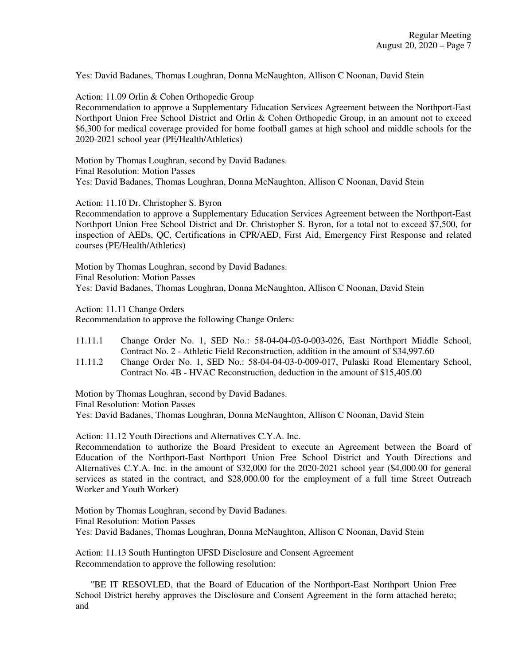Yes: David Badanes, Thomas Loughran, Donna McNaughton, Allison C Noonan, David Stein

Action: 11.09 Orlin & Cohen Orthopedic Group

Recommendation to approve a Supplementary Education Services Agreement between the Northport-East Northport Union Free School District and Orlin & Cohen Orthopedic Group, in an amount not to exceed \$6,300 for medical coverage provided for home football games at high school and middle schools for the 2020-2021 school year (PE/Health/Athletics)

Motion by Thomas Loughran, second by David Badanes. Final Resolution: Motion Passes Yes: David Badanes, Thomas Loughran, Donna McNaughton, Allison C Noonan, David Stein

Action: 11.10 Dr. Christopher S. Byron

Recommendation to approve a Supplementary Education Services Agreement between the Northport-East Northport Union Free School District and Dr. Christopher S. Byron, for a total not to exceed \$7,500, for inspection of AEDs, QC, Certifications in CPR/AED, First Aid, Emergency First Response and related courses (PE/Health/Athletics)

Motion by Thomas Loughran, second by David Badanes. Final Resolution: Motion Passes Yes: David Badanes, Thomas Loughran, Donna McNaughton, Allison C Noonan, David Stein

Action: 11.11 Change Orders

Recommendation to approve the following Change Orders:

- 11.11.1 Change Order No. 1, SED No.: 58-04-04-03-0-003-026, East Northport Middle School, Contract No. 2 - Athletic Field Reconstruction, addition in the amount of \$34,997.60
- 11.11.2 Change Order No. 1, SED No.: 58-04-04-03-0-009-017, Pulaski Road Elementary School, Contract No. 4B - HVAC Reconstruction, deduction in the amount of \$15,405.00

Motion by Thomas Loughran, second by David Badanes. Final Resolution: Motion Passes Yes: David Badanes, Thomas Loughran, Donna McNaughton, Allison C Noonan, David Stein

Action: 11.12 Youth Directions and Alternatives C.Y.A. Inc.

Recommendation to authorize the Board President to execute an Agreement between the Board of Education of the Northport-East Northport Union Free School District and Youth Directions and Alternatives C.Y.A. Inc. in the amount of \$32,000 for the 2020-2021 school year (\$4,000.00 for general services as stated in the contract, and \$28,000.00 for the employment of a full time Street Outreach Worker and Youth Worker)

Motion by Thomas Loughran, second by David Badanes. Final Resolution: Motion Passes Yes: David Badanes, Thomas Loughran, Donna McNaughton, Allison C Noonan, David Stein

Action: 11.13 South Huntington UFSD Disclosure and Consent Agreement Recommendation to approve the following resolution:

"BE IT RESOVLED, that the Board of Education of the Northport-East Northport Union Free School District hereby approves the Disclosure and Consent Agreement in the form attached hereto; and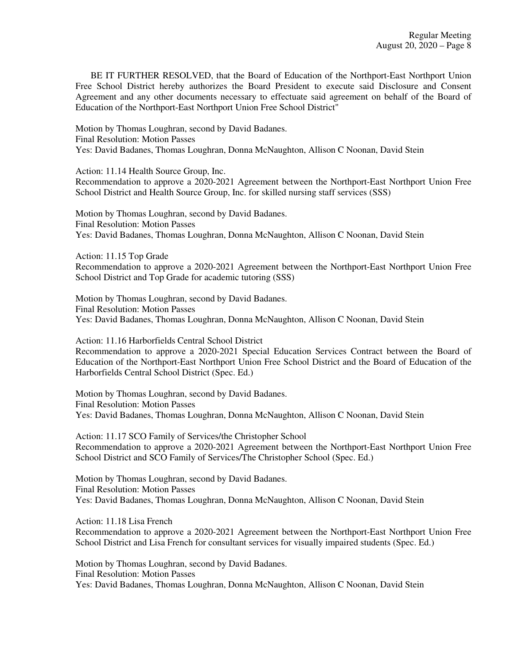BE IT FURTHER RESOLVED, that the Board of Education of the Northport-East Northport Union Free School District hereby authorizes the Board President to execute said Disclosure and Consent Agreement and any other documents necessary to effectuate said agreement on behalf of the Board of Education of the Northport-East Northport Union Free School District"

Motion by Thomas Loughran, second by David Badanes. Final Resolution: Motion Passes Yes: David Badanes, Thomas Loughran, Donna McNaughton, Allison C Noonan, David Stein

Action: 11.14 Health Source Group, Inc. Recommendation to approve a 2020-2021 Agreement between the Northport-East Northport Union Free School District and Health Source Group, Inc. for skilled nursing staff services (SSS)

Motion by Thomas Loughran, second by David Badanes. Final Resolution: Motion Passes Yes: David Badanes, Thomas Loughran, Donna McNaughton, Allison C Noonan, David Stein

Action: 11.15 Top Grade Recommendation to approve a 2020-2021 Agreement between the Northport-East Northport Union Free School District and Top Grade for academic tutoring (SSS)

Motion by Thomas Loughran, second by David Badanes. Final Resolution: Motion Passes Yes: David Badanes, Thomas Loughran, Donna McNaughton, Allison C Noonan, David Stein

Action: 11.16 Harborfields Central School District Recommendation to approve a 2020-2021 Special Education Services Contract between the Board of

Education of the Northport-East Northport Union Free School District and the Board of Education of the Harborfields Central School District (Spec. Ed.)

Motion by Thomas Loughran, second by David Badanes. Final Resolution: Motion Passes Yes: David Badanes, Thomas Loughran, Donna McNaughton, Allison C Noonan, David Stein

Action: 11.17 SCO Family of Services/the Christopher School Recommendation to approve a 2020-2021 Agreement between the Northport-East Northport Union Free School District and SCO Family of Services/The Christopher School (Spec. Ed.)

Motion by Thomas Loughran, second by David Badanes. Final Resolution: Motion Passes Yes: David Badanes, Thomas Loughran, Donna McNaughton, Allison C Noonan, David Stein

Action: 11.18 Lisa French Recommendation to approve a 2020-2021 Agreement between the Northport-East Northport Union Free School District and Lisa French for consultant services for visually impaired students (Spec. Ed.)

Motion by Thomas Loughran, second by David Badanes. Final Resolution: Motion Passes Yes: David Badanes, Thomas Loughran, Donna McNaughton, Allison C Noonan, David Stein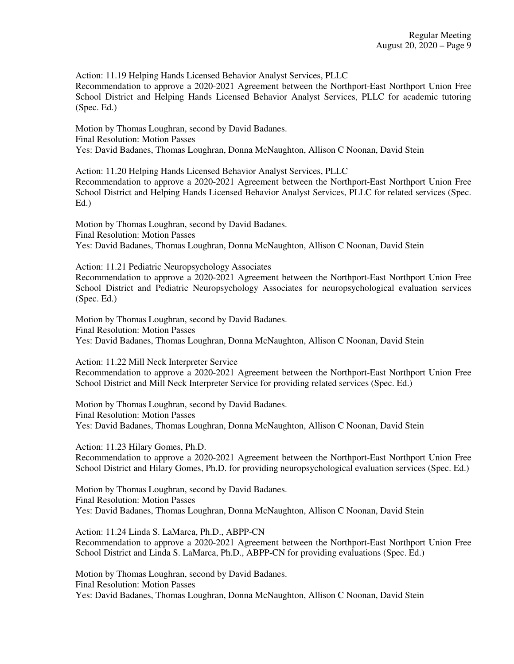Action: 11.19 Helping Hands Licensed Behavior Analyst Services, PLLC

Recommendation to approve a 2020-2021 Agreement between the Northport-East Northport Union Free School District and Helping Hands Licensed Behavior Analyst Services, PLLC for academic tutoring (Spec. Ed.)

Motion by Thomas Loughran, second by David Badanes. Final Resolution: Motion Passes Yes: David Badanes, Thomas Loughran, Donna McNaughton, Allison C Noonan, David Stein

Action: 11.20 Helping Hands Licensed Behavior Analyst Services, PLLC Recommendation to approve a 2020-2021 Agreement between the Northport-East Northport Union Free School District and Helping Hands Licensed Behavior Analyst Services, PLLC for related services (Spec. Ed.)

Motion by Thomas Loughran, second by David Badanes. Final Resolution: Motion Passes Yes: David Badanes, Thomas Loughran, Donna McNaughton, Allison C Noonan, David Stein

Action: 11.21 Pediatric Neuropsychology Associates Recommendation to approve a 2020-2021 Agreement between the Northport-East Northport Union Free School District and Pediatric Neuropsychology Associates for neuropsychological evaluation services (Spec. Ed.)

Motion by Thomas Loughran, second by David Badanes. Final Resolution: Motion Passes Yes: David Badanes, Thomas Loughran, Donna McNaughton, Allison C Noonan, David Stein

Action: 11.22 Mill Neck Interpreter Service Recommendation to approve a 2020-2021 Agreement between the Northport-East Northport Union Free School District and Mill Neck Interpreter Service for providing related services (Spec. Ed.)

Motion by Thomas Loughran, second by David Badanes. Final Resolution: Motion Passes Yes: David Badanes, Thomas Loughran, Donna McNaughton, Allison C Noonan, David Stein

Action: 11.23 Hilary Gomes, Ph.D. Recommendation to approve a 2020-2021 Agreement between the Northport-East Northport Union Free School District and Hilary Gomes, Ph.D. for providing neuropsychological evaluation services (Spec. Ed.)

Motion by Thomas Loughran, second by David Badanes. Final Resolution: Motion Passes Yes: David Badanes, Thomas Loughran, Donna McNaughton, Allison C Noonan, David Stein

Action: 11.24 Linda S. LaMarca, Ph.D., ABPP-CN Recommendation to approve a 2020-2021 Agreement between the Northport-East Northport Union Free School District and Linda S. LaMarca, Ph.D., ABPP-CN for providing evaluations (Spec. Ed.)

Motion by Thomas Loughran, second by David Badanes. Final Resolution: Motion Passes Yes: David Badanes, Thomas Loughran, Donna McNaughton, Allison C Noonan, David Stein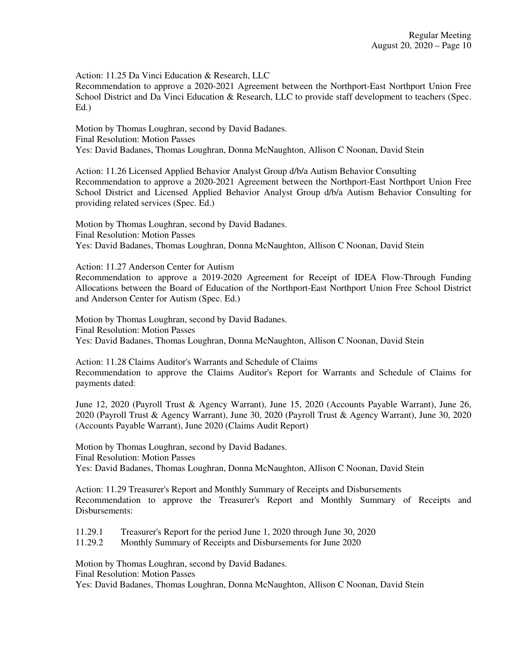Action: 11.25 Da Vinci Education & Research, LLC

Recommendation to approve a 2020-2021 Agreement between the Northport-East Northport Union Free School District and Da Vinci Education & Research, LLC to provide staff development to teachers (Spec. Ed.)

Motion by Thomas Loughran, second by David Badanes. Final Resolution: Motion Passes Yes: David Badanes, Thomas Loughran, Donna McNaughton, Allison C Noonan, David Stein

Action: 11.26 Licensed Applied Behavior Analyst Group d/b/a Autism Behavior Consulting Recommendation to approve a 2020-2021 Agreement between the Northport-East Northport Union Free School District and Licensed Applied Behavior Analyst Group d/b/a Autism Behavior Consulting for providing related services (Spec. Ed.)

Motion by Thomas Loughran, second by David Badanes. Final Resolution: Motion Passes Yes: David Badanes, Thomas Loughran, Donna McNaughton, Allison C Noonan, David Stein

Action: 11.27 Anderson Center for Autism Recommendation to approve a 2019-2020 Agreement for Receipt of IDEA Flow-Through Funding Allocations between the Board of Education of the Northport-East Northport Union Free School District and Anderson Center for Autism (Spec. Ed.)

Motion by Thomas Loughran, second by David Badanes. Final Resolution: Motion Passes Yes: David Badanes, Thomas Loughran, Donna McNaughton, Allison C Noonan, David Stein

Action: 11.28 Claims Auditor's Warrants and Schedule of Claims Recommendation to approve the Claims Auditor's Report for Warrants and Schedule of Claims for payments dated:

June 12, 2020 (Payroll Trust & Agency Warrant), June 15, 2020 (Accounts Payable Warrant), June 26, 2020 (Payroll Trust & Agency Warrant), June 30, 2020 (Payroll Trust & Agency Warrant), June 30, 2020 (Accounts Payable Warrant), June 2020 (Claims Audit Report)

Motion by Thomas Loughran, second by David Badanes. Final Resolution: Motion Passes Yes: David Badanes, Thomas Loughran, Donna McNaughton, Allison C Noonan, David Stein

Action: 11.29 Treasurer's Report and Monthly Summary of Receipts and Disbursements Recommendation to approve the Treasurer's Report and Monthly Summary of Receipts and Disbursements:

11.29.1 Treasurer's Report for the period June 1, 2020 through June 30, 2020

11.29.2 Monthly Summary of Receipts and Disbursements for June 2020

Motion by Thomas Loughran, second by David Badanes.

Final Resolution: Motion Passes

Yes: David Badanes, Thomas Loughran, Donna McNaughton, Allison C Noonan, David Stein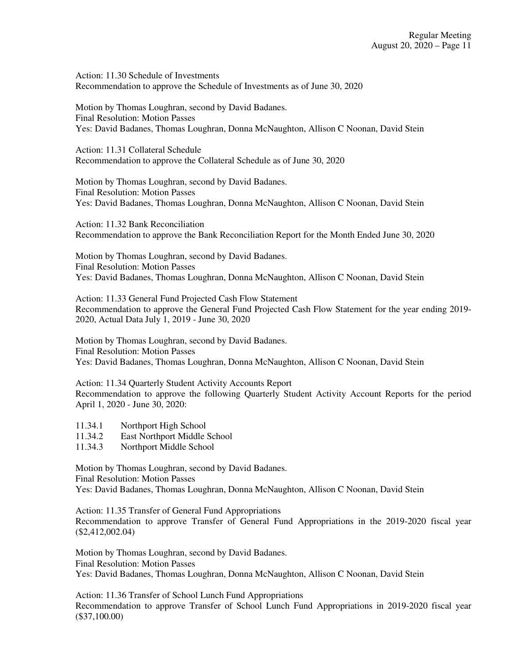Action: 11.30 Schedule of Investments Recommendation to approve the Schedule of Investments as of June 30, 2020

Motion by Thomas Loughran, second by David Badanes. Final Resolution: Motion Passes Yes: David Badanes, Thomas Loughran, Donna McNaughton, Allison C Noonan, David Stein

Action: 11.31 Collateral Schedule Recommendation to approve the Collateral Schedule as of June 30, 2020

Motion by Thomas Loughran, second by David Badanes. Final Resolution: Motion Passes Yes: David Badanes, Thomas Loughran, Donna McNaughton, Allison C Noonan, David Stein

Action: 11.32 Bank Reconciliation Recommendation to approve the Bank Reconciliation Report for the Month Ended June 30, 2020

Motion by Thomas Loughran, second by David Badanes. Final Resolution: Motion Passes Yes: David Badanes, Thomas Loughran, Donna McNaughton, Allison C Noonan, David Stein

Action: 11.33 General Fund Projected Cash Flow Statement Recommendation to approve the General Fund Projected Cash Flow Statement for the year ending 2019- 2020, Actual Data July 1, 2019 - June 30, 2020

Motion by Thomas Loughran, second by David Badanes. Final Resolution: Motion Passes Yes: David Badanes, Thomas Loughran, Donna McNaughton, Allison C Noonan, David Stein

Action: 11.34 Quarterly Student Activity Accounts Report Recommendation to approve the following Quarterly Student Activity Account Reports for the period April 1, 2020 - June 30, 2020:

- 11.34.1 Northport High School
- 11.34.2 East Northport Middle School
- 11.34.3 Northport Middle School

Motion by Thomas Loughran, second by David Badanes. Final Resolution: Motion Passes Yes: David Badanes, Thomas Loughran, Donna McNaughton, Allison C Noonan, David Stein

Action: 11.35 Transfer of General Fund Appropriations Recommendation to approve Transfer of General Fund Appropriations in the 2019-2020 fiscal year (\$2,412,002.04)

Motion by Thomas Loughran, second by David Badanes. Final Resolution: Motion Passes Yes: David Badanes, Thomas Loughran, Donna McNaughton, Allison C Noonan, David Stein

Action: 11.36 Transfer of School Lunch Fund Appropriations Recommendation to approve Transfer of School Lunch Fund Appropriations in 2019-2020 fiscal year (\$37,100.00)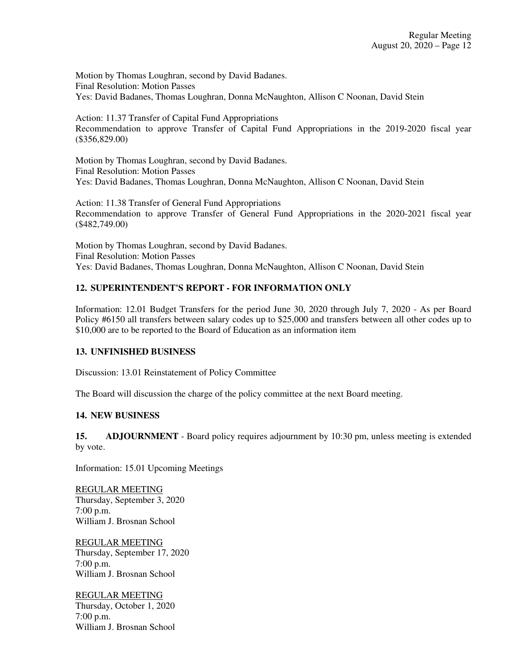Motion by Thomas Loughran, second by David Badanes. Final Resolution: Motion Passes Yes: David Badanes, Thomas Loughran, Donna McNaughton, Allison C Noonan, David Stein

Action: 11.37 Transfer of Capital Fund Appropriations Recommendation to approve Transfer of Capital Fund Appropriations in the 2019-2020 fiscal year (\$356,829.00)

Motion by Thomas Loughran, second by David Badanes. Final Resolution: Motion Passes Yes: David Badanes, Thomas Loughran, Donna McNaughton, Allison C Noonan, David Stein

Action: 11.38 Transfer of General Fund Appropriations Recommendation to approve Transfer of General Fund Appropriations in the 2020-2021 fiscal year (\$482,749.00)

Motion by Thomas Loughran, second by David Badanes. Final Resolution: Motion Passes Yes: David Badanes, Thomas Loughran, Donna McNaughton, Allison C Noonan, David Stein

# **12. SUPERINTENDENT'S REPORT - FOR INFORMATION ONLY**

Information: 12.01 Budget Transfers for the period June 30, 2020 through July 7, 2020 - As per Board Policy #6150 all transfers between salary codes up to \$25,000 and transfers between all other codes up to \$10,000 are to be reported to the Board of Education as an information item

### **13. UNFINISHED BUSINESS**

Discussion: 13.01 Reinstatement of Policy Committee

The Board will discussion the charge of the policy committee at the next Board meeting.

## **14. NEW BUSINESS**

**15. ADJOURNMENT** - Board policy requires adjournment by 10:30 pm, unless meeting is extended by vote.

Information: 15.01 Upcoming Meetings

REGULAR MEETING Thursday, September 3, 2020 7:00 p.m. William J. Brosnan School

REGULAR MEETING Thursday, September 17, 2020 7:00 p.m. William J. Brosnan School

REGULAR MEETING Thursday, October 1, 2020 7:00 p.m. William J. Brosnan School